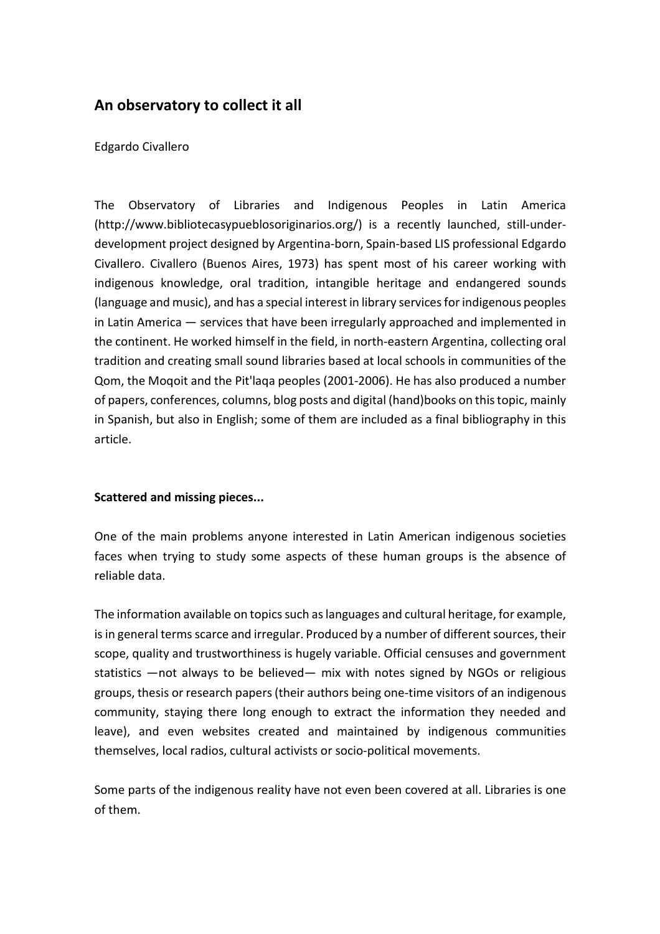# **An observatory to collect it all**

#### Edgardo Civallero

The Observatory of Libraries and Indigenous Peoples in Latin America (http://www.bibliotecasypueblosoriginarios.org/) is a recently launched, still-underdevelopment project designed by Argentina-born, Spain-based LIS professional Edgardo Civallero. Civallero (Buenos Aires, 1973) has spent most of his career working with indigenous knowledge, oral tradition, intangible heritage and endangered sounds (language and music), and has a special interest in library services for indigenous peoples in Latin America — services that have been irregularly approached and implemented in the continent. He worked himself in the field, in north-eastern Argentina, collecting oral tradition and creating small sound libraries based at local schools in communities of the Qom, the Moqoit and the Pit'laqa peoples (2001-2006). He has also produced a number of papers, conferences, columns, blog posts and digital (hand)books on this topic, mainly in Spanish, but also in English; some of them are included as a final bibliography in this article.

### **Scattered and missing pieces...**

One of the main problems anyone interested in Latin American indigenous societies faces when trying to study some aspects of these human groups is the absence of reliable data.

The information available on topics such as languages and cultural heritage, for example, is in general terms scarce and irregular. Produced by a number of different sources, their scope, quality and trustworthiness is hugely variable. Official censuses and government statistics —not always to be believed— mix with notes signed by NGOs or religious groups, thesis or research papers (their authors being one-time visitors of an indigenous community, staying there long enough to extract the information they needed and leave), and even websites created and maintained by indigenous communities themselves, local radios, cultural activists or socio-political movements.

Some parts of the indigenous reality have not even been covered at all. Libraries is one of them.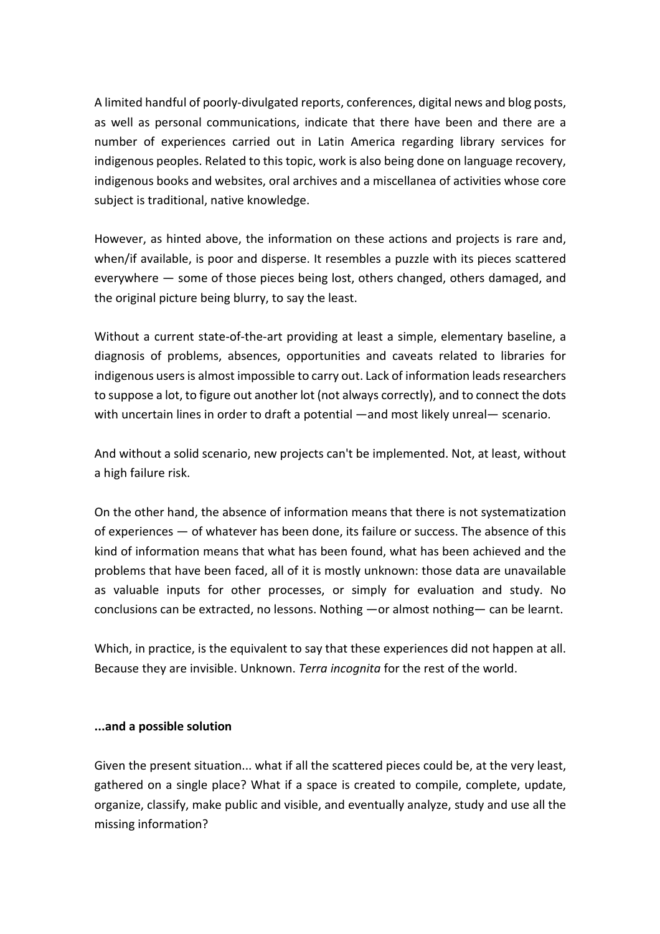A limited handful of poorly-divulgated reports, conferences, digital news and blog posts, as well as personal communications, indicate that there have been and there are a number of experiences carried out in Latin America regarding library services for indigenous peoples. Related to this topic, work is also being done on language recovery, indigenous books and websites, oral archives and a miscellanea of activities whose core subject is traditional, native knowledge.

However, as hinted above, the information on these actions and projects is rare and, when/if available, is poor and disperse. It resembles a puzzle with its pieces scattered everywhere — some of those pieces being lost, others changed, others damaged, and the original picture being blurry, to say the least.

Without a current state-of-the-art providing at least a simple, elementary baseline, a diagnosis of problems, absences, opportunities and caveats related to libraries for indigenous users is almost impossible to carry out. Lack of information leads researchers to suppose a lot, to figure out another lot (not always correctly), and to connect the dots with uncertain lines in order to draft a potential —and most likely unreal— scenario.

And without a solid scenario, new projects can't be implemented. Not, at least, without a high failure risk.

On the other hand, the absence of information means that there is not systematization of experiences — of whatever has been done, its failure or success. The absence of this kind of information means that what has been found, what has been achieved and the problems that have been faced, all of it is mostly unknown: those data are unavailable as valuable inputs for other processes, or simply for evaluation and study. No conclusions can be extracted, no lessons. Nothing —or almost nothing— can be learnt.

Which, in practice, is the equivalent to say that these experiences did not happen at all. Because they are invisible. Unknown. *Terra incognita* for the rest of the world.

#### **...and a possible solution**

Given the present situation... what if all the scattered pieces could be, at the very least, gathered on a single place? What if a space is created to compile, complete, update, organize, classify, make public and visible, and eventually analyze, study and use all the missing information?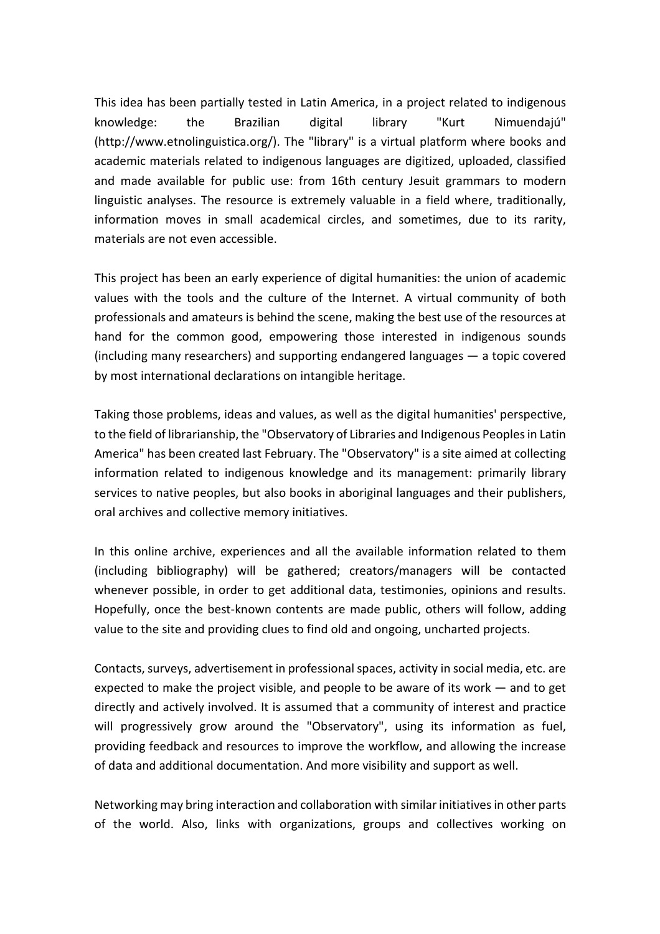This idea has been partially tested in Latin America, in a project related to indigenous knowledge: the Brazilian digital library "Kurt Nimuendajú" (http://www.etnolinguistica.org/). The "library" is a virtual platform where books and academic materials related to indigenous languages are digitized, uploaded, classified and made available for public use: from 16th century Jesuit grammars to modern linguistic analyses. The resource is extremely valuable in a field where, traditionally, information moves in small academical circles, and sometimes, due to its rarity, materials are not even accessible.

This project has been an early experience of digital humanities: the union of academic values with the tools and the culture of the Internet. A virtual community of both professionals and amateurs is behind the scene, making the best use of the resources at hand for the common good, empowering those interested in indigenous sounds (including many researchers) and supporting endangered languages — a topic covered by most international declarations on intangible heritage.

Taking those problems, ideas and values, as well as the digital humanities' perspective, to the field of librarianship, the "Observatory of Libraries and Indigenous Peoples in Latin America" has been created last February. The "Observatory" is a site aimed at collecting information related to indigenous knowledge and its management: primarily library services to native peoples, but also books in aboriginal languages and their publishers, oral archives and collective memory initiatives.

In this online archive, experiences and all the available information related to them (including bibliography) will be gathered; creators/managers will be contacted whenever possible, in order to get additional data, testimonies, opinions and results. Hopefully, once the best-known contents are made public, others will follow, adding value to the site and providing clues to find old and ongoing, uncharted projects.

Contacts, surveys, advertisement in professional spaces, activity in social media, etc. are expected to make the project visible, and people to be aware of its work — and to get directly and actively involved. It is assumed that a community of interest and practice will progressively grow around the "Observatory", using its information as fuel, providing feedback and resources to improve the workflow, and allowing the increase of data and additional documentation. And more visibility and support as well.

Networking may bring interaction and collaboration with similar initiatives in other parts of the world. Also, links with organizations, groups and collectives working on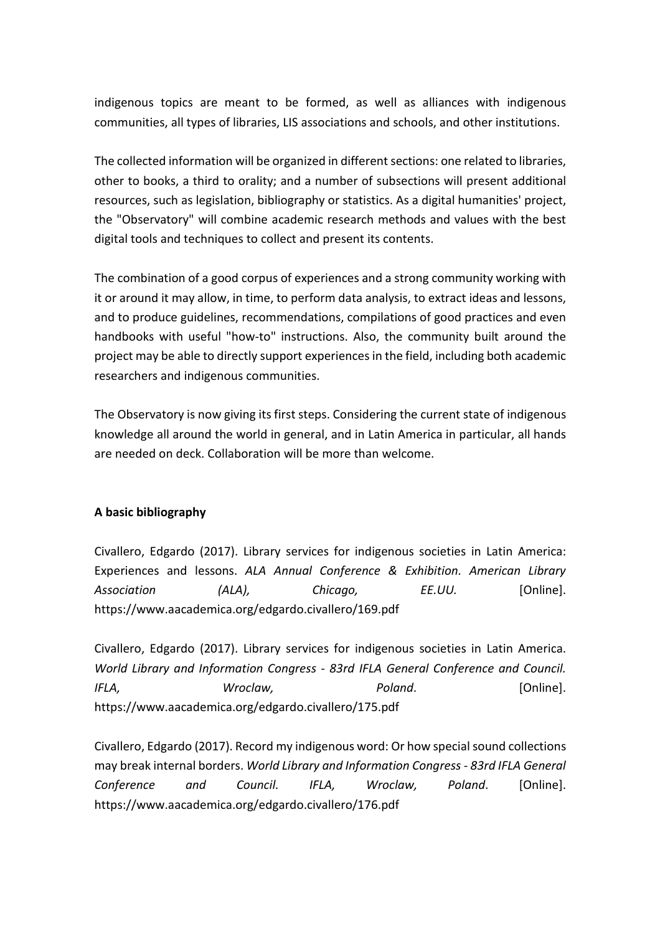indigenous topics are meant to be formed, as well as alliances with indigenous communities, all types of libraries, LIS associations and schools, and other institutions.

The collected information will be organized in different sections: one related to libraries, other to books, a third to orality; and a number of subsections will present additional resources, such as legislation, bibliography or statistics. As a digital humanities' project, the "Observatory" will combine academic research methods and values with the best digital tools and techniques to collect and present its contents.

The combination of a good corpus of experiences and a strong community working with it or around it may allow, in time, to perform data analysis, to extract ideas and lessons, and to produce guidelines, recommendations, compilations of good practices and even handbooks with useful "how-to" instructions. Also, the community built around the project may be able to directly support experiences in the field, including both academic researchers and indigenous communities.

The Observatory is now giving its first steps. Considering the current state of indigenous knowledge all around the world in general, and in Latin America in particular, all hands are needed on deck. Collaboration will be more than welcome.

## **A basic bibliography**

Civallero, Edgardo (2017). Library services for indigenous societies in Latin America: Experiences and lessons. *ALA Annual Conference & Exhibition. American Library Association (ALA), Chicago, EE.UU.* [Online]. https://www.aacademica.org/edgardo.civallero/169.pdf

Civallero, Edgardo (2017). Library services for indigenous societies in Latin America. *World Library and Information Congress - 83rd IFLA General Conference and Council. IFLA, Wroclaw, Poland*. [Online]. https://www.aacademica.org/edgardo.civallero/175.pdf

Civallero, Edgardo (2017). Record my indigenous word: Or how special sound collections may break internal borders. *World Library and Information Congress - 83rd IFLA General Conference and Council. IFLA, Wroclaw, Poland*. [Online]. https://www.aacademica.org/edgardo.civallero/176.pdf